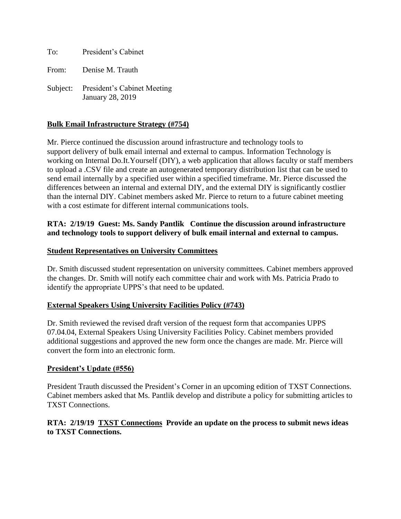To: President's Cabinet

From: Denise M. Trauth

Subject: President's Cabinet Meeting January 28, 2019

# **Bulk Email Infrastructure Strategy (#754)**

Mr. Pierce continued the discussion around infrastructure and technology tools to support delivery of bulk email internal and external to campus. Information Technology is working on Internal Do.It.Yourself (DIY), a web application that allows faculty or staff members to upload a .CSV file and create an autogenerated temporary distribution list that can be used to send email internally by a specified user within a specified timeframe. Mr. Pierce discussed the differences between an internal and external DIY, and the external DIY is significantly costlier than the internal DIY. Cabinet members asked Mr. Pierce to return to a future cabinet meeting with a cost estimate for different internal communications tools.

## **RTA: 2/19/19 Guest: Ms. Sandy Pantlik Continue the discussion around infrastructure and technology tools to support delivery of bulk email internal and external to campus.**

#### **Student Representatives on University Committees**

Dr. Smith discussed student representation on university committees. Cabinet members approved the changes. Dr. Smith will notify each committee chair and work with Ms. Patricia Prado to identify the appropriate UPPS's that need to be updated.

#### **External Speakers Using University Facilities Policy (#743)**

Dr. Smith reviewed the revised draft version of the request form that accompanies UPPS 07.04.04, External Speakers Using University Facilities Policy. Cabinet members provided additional suggestions and approved the new form once the changes are made. Mr. Pierce will convert the form into an electronic form.

#### **President's Update (#556)**

President Trauth discussed the President's Corner in an upcoming edition of TXST Connections. Cabinet members asked that Ms. Pantlik develop and distribute a policy for submitting articles to TXST Connections.

### **RTA: 2/19/19 TXST Connections Provide an update on the process to submit news ideas to TXST Connections.**